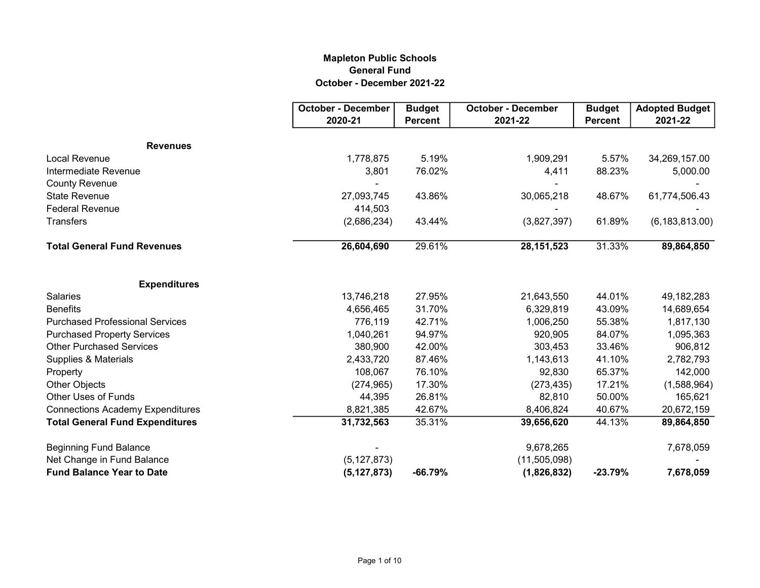#### Mapleton Public Schools General Fund October - December 2021-22

|                                         | <b>October - December</b> | <b>Budget</b>  | <b>October - December</b> | <b>Budget</b>  | <b>Adopted Budget</b> |
|-----------------------------------------|---------------------------|----------------|---------------------------|----------------|-----------------------|
|                                         | 2020-21                   | <b>Percent</b> | 2021-22                   | <b>Percent</b> | 2021-22               |
| <b>Revenues</b>                         |                           |                |                           |                |                       |
| Local Revenue                           | 1,778,875                 | 5.19%          | 1,909,291                 | 5.57%          | 34,269,157.00         |
| Intermediate Revenue                    | 3,801                     | 76.02%         | 4,411                     | 88.23%         | 5,000.00              |
| <b>County Revenue</b>                   |                           |                |                           |                |                       |
| <b>State Revenue</b>                    | 27,093,745                | 43.86%         | 30,065,218                | 48.67%         | 61,774,506.43         |
| <b>Federal Revenue</b>                  | 414,503                   |                |                           |                |                       |
| <b>Transfers</b>                        | (2,686,234)               | 43.44%         | (3,827,397)               | 61.89%         | (6, 183, 813.00)      |
| <b>Total General Fund Revenues</b>      | 26,604,690                | 29.61%         | 28, 151, 523              | 31.33%         | 89,864,850            |
| <b>Expenditures</b>                     |                           |                |                           |                |                       |
| Salaries                                | 13,746,218                | 27.95%         | 21,643,550                | 44.01%         | 49,182,283            |
| <b>Benefits</b>                         | 4,656,465                 | 31.70%         | 6,329,819                 | 43.09%         | 14,689,654            |
| <b>Purchased Professional Services</b>  | 776,119                   | 42.71%         | 1,006,250                 | 55.38%         | 1,817,130             |
| <b>Purchased Property Services</b>      | 1,040,261                 | 94.97%         | 920,905                   | 84.07%         | 1,095,363             |
| <b>Other Purchased Services</b>         | 380,900                   | 42.00%         | 303,453                   | 33.46%         | 906,812               |
| Supplies & Materials                    | 2,433,720                 | 87.46%         | 1,143,613                 | 41.10%         | 2,782,793             |
| Property                                | 108,067                   | 76.10%         | 92,830                    | 65.37%         | 142,000               |
| <b>Other Objects</b>                    | (274, 965)                | 17.30%         | (273, 435)                | 17.21%         | (1,588,964)           |
| <b>Other Uses of Funds</b>              | 44,395                    | 26.81%         | 82,810                    | 50.00%         | 165,621               |
| <b>Connections Academy Expenditures</b> | 8,821,385                 | 42.67%         | 8,406,824                 | 40.67%         | 20,672,159            |
| <b>Total General Fund Expenditures</b>  | 31,732,563                | 35.31%         | 39,656,620                | 44.13%         | 89,864,850            |
| <b>Beginning Fund Balance</b>           |                           |                | 9,678,265                 |                | 7,678,059             |
| Net Change in Fund Balance              | (5, 127, 873)             |                | (11,505,098)              |                |                       |
| <b>Fund Balance Year to Date</b>        | (5, 127, 873)             | $-66.79%$      | (1,826,832)               | $-23.79%$      | 7,678,059             |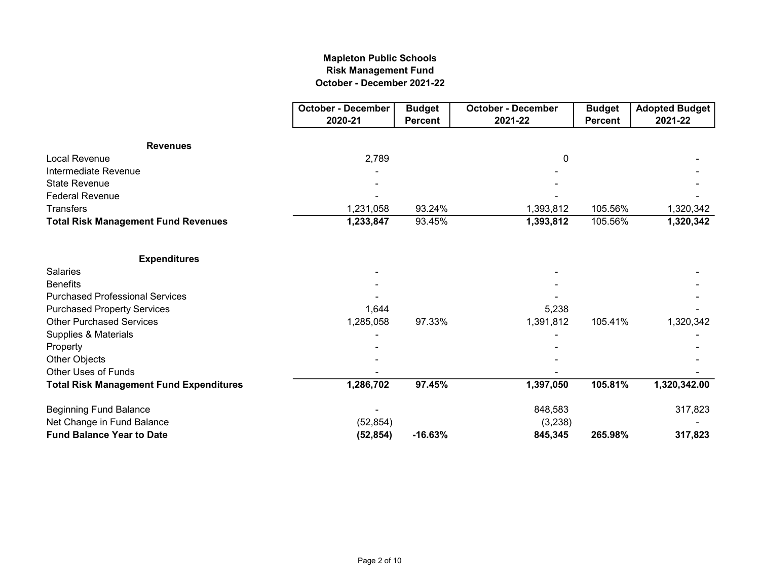## October - December 2021-22 Mapleton Public Schools Risk Management Fund

|                                                | <b>October - December</b> | <b>Budget</b>  | <b>October - December</b> | <b>Budget</b>  | <b>Adopted Budget</b> |
|------------------------------------------------|---------------------------|----------------|---------------------------|----------------|-----------------------|
|                                                | 2020-21                   | <b>Percent</b> | 2021-22                   | <b>Percent</b> | 2021-22               |
| <b>Revenues</b>                                |                           |                |                           |                |                       |
| Local Revenue                                  | 2,789                     |                | 0                         |                |                       |
| Intermediate Revenue                           |                           |                |                           |                |                       |
| <b>State Revenue</b>                           |                           |                |                           |                |                       |
| <b>Federal Revenue</b>                         |                           |                |                           |                |                       |
| <b>Transfers</b>                               | 1,231,058                 | 93.24%         | 1,393,812                 | 105.56%        | 1,320,342             |
| <b>Total Risk Management Fund Revenues</b>     | 1,233,847                 | 93.45%         | 1,393,812                 | 105.56%        | 1,320,342             |
| <b>Expenditures</b>                            |                           |                |                           |                |                       |
| Salaries                                       |                           |                |                           |                |                       |
| <b>Benefits</b>                                |                           |                |                           |                |                       |
| <b>Purchased Professional Services</b>         |                           |                |                           |                |                       |
| <b>Purchased Property Services</b>             | 1,644                     |                | 5,238                     |                |                       |
| <b>Other Purchased Services</b>                | 1,285,058                 | 97.33%         | 1,391,812                 | 105.41%        | 1,320,342             |
| Supplies & Materials                           |                           |                |                           |                |                       |
| Property                                       |                           |                |                           |                |                       |
| Other Objects                                  |                           |                |                           |                |                       |
| <b>Other Uses of Funds</b>                     |                           |                |                           |                |                       |
| <b>Total Risk Management Fund Expenditures</b> | 1,286,702                 | 97.45%         | 1,397,050                 | 105.81%        | 1,320,342.00          |
| <b>Beginning Fund Balance</b>                  |                           |                | 848,583                   |                | 317,823               |
| Net Change in Fund Balance                     | (52, 854)                 |                | (3,238)                   |                |                       |
| <b>Fund Balance Year to Date</b>               | (52, 854)                 | $-16.63%$      | 845,345                   | 265.98%        | 317,823               |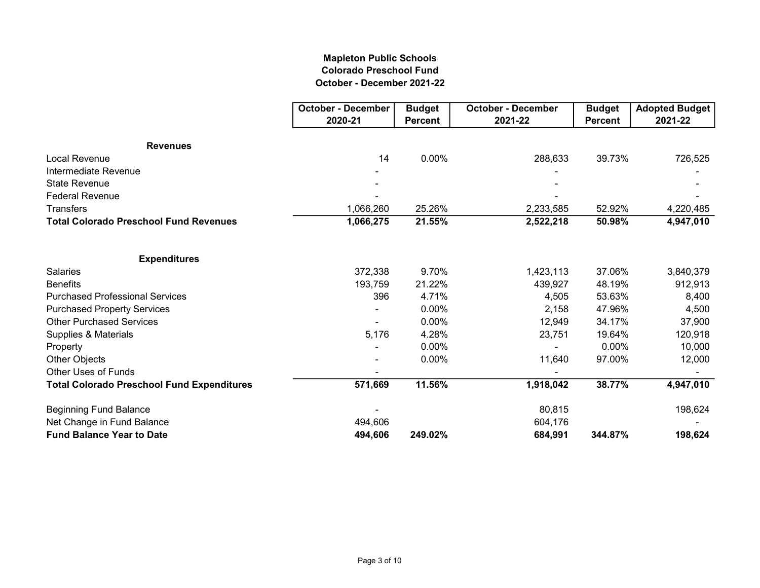## Mapleton Public Schools Colorado Preschool Fund October - December 2021-22

|                                                   | <b>October - December</b> | <b>Budget</b>  | <b>October - December</b> | <b>Budget</b>  | <b>Adopted Budget</b> |
|---------------------------------------------------|---------------------------|----------------|---------------------------|----------------|-----------------------|
|                                                   | 2020-21                   | <b>Percent</b> | 2021-22                   | <b>Percent</b> | 2021-22               |
| <b>Revenues</b>                                   |                           |                |                           |                |                       |
| Local Revenue                                     | 14                        | 0.00%          | 288,633                   | 39.73%         | 726,525               |
| Intermediate Revenue                              |                           |                |                           |                |                       |
| <b>State Revenue</b>                              |                           |                |                           |                |                       |
| <b>Federal Revenue</b>                            |                           |                |                           |                |                       |
| <b>Transfers</b>                                  | 1,066,260                 | 25.26%         | 2,233,585                 | 52.92%         | 4,220,485             |
| <b>Total Colorado Preschool Fund Revenues</b>     | 1,066,275                 | 21.55%         | 2,522,218                 | 50.98%         | 4,947,010             |
| <b>Expenditures</b>                               |                           |                |                           |                |                       |
| <b>Salaries</b>                                   | 372,338                   | 9.70%          | 1,423,113                 | 37.06%         | 3,840,379             |
| <b>Benefits</b>                                   | 193,759                   | 21.22%         | 439,927                   | 48.19%         | 912,913               |
| <b>Purchased Professional Services</b>            | 396                       | 4.71%          | 4,505                     | 53.63%         | 8,400                 |
| <b>Purchased Property Services</b>                |                           | 0.00%          | 2,158                     | 47.96%         | 4,500                 |
| <b>Other Purchased Services</b>                   |                           | 0.00%          | 12,949                    | 34.17%         | 37,900                |
| Supplies & Materials                              | 5,176                     | 4.28%          | 23,751                    | 19.64%         | 120,918               |
| Property                                          |                           | 0.00%          |                           | 0.00%          | 10,000                |
| Other Objects                                     |                           | 0.00%          | 11,640                    | 97.00%         | 12,000                |
| <b>Other Uses of Funds</b>                        |                           |                |                           |                |                       |
| <b>Total Colorado Preschool Fund Expenditures</b> | 571,669                   | 11.56%         | 1,918,042                 | 38.77%         | 4,947,010             |
| <b>Beginning Fund Balance</b>                     |                           |                | 80,815                    |                | 198,624               |
| Net Change in Fund Balance                        | 494,606                   |                | 604,176                   |                |                       |
| <b>Fund Balance Year to Date</b>                  | 494,606                   | 249.02%        | 684,991                   | 344.87%        | 198,624               |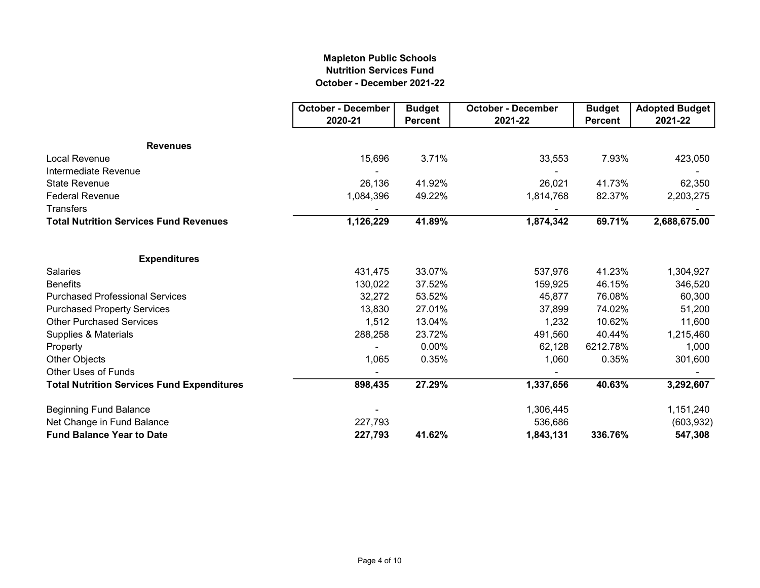#### Mapleton Public Schools Nutrition Services Fund October - December 2021-22

|                                                   | <b>October - December</b> | <b>Budget</b>  | <b>October - December</b> | <b>Budget</b>  | <b>Adopted Budget</b> |
|---------------------------------------------------|---------------------------|----------------|---------------------------|----------------|-----------------------|
|                                                   | 2020-21                   | <b>Percent</b> | 2021-22                   | <b>Percent</b> | 2021-22               |
| <b>Revenues</b>                                   |                           |                |                           |                |                       |
| Local Revenue                                     | 15,696                    | 3.71%          | 33,553                    | 7.93%          | 423,050               |
| Intermediate Revenue                              |                           |                |                           |                |                       |
| <b>State Revenue</b>                              | 26,136                    | 41.92%         | 26,021                    | 41.73%         | 62,350                |
| <b>Federal Revenue</b>                            | 1,084,396                 | 49.22%         | 1,814,768                 | 82.37%         | 2,203,275             |
| <b>Transfers</b>                                  |                           |                |                           |                |                       |
| <b>Total Nutrition Services Fund Revenues</b>     | 1,126,229                 | 41.89%         | 1,874,342                 | 69.71%         | 2,688,675.00          |
| <b>Expenditures</b>                               |                           |                |                           |                |                       |
| Salaries                                          | 431,475                   | 33.07%         | 537,976                   | 41.23%         | 1,304,927             |
| <b>Benefits</b>                                   | 130,022                   | 37.52%         | 159,925                   | 46.15%         | 346,520               |
| <b>Purchased Professional Services</b>            | 32,272                    | 53.52%         | 45,877                    | 76.08%         | 60,300                |
| <b>Purchased Property Services</b>                | 13,830                    | 27.01%         | 37,899                    | 74.02%         | 51,200                |
| <b>Other Purchased Services</b>                   | 1,512                     | 13.04%         | 1,232                     | 10.62%         | 11,600                |
| Supplies & Materials                              | 288,258                   | 23.72%         | 491,560                   | 40.44%         | 1,215,460             |
| Property                                          |                           | 0.00%          | 62,128                    | 6212.78%       | 1,000                 |
| Other Objects                                     | 1,065                     | 0.35%          | 1,060                     | 0.35%          | 301,600               |
| <b>Other Uses of Funds</b>                        |                           |                |                           |                |                       |
| <b>Total Nutrition Services Fund Expenditures</b> | 898,435                   | 27.29%         | 1,337,656                 | 40.63%         | 3,292,607             |
| <b>Beginning Fund Balance</b>                     |                           |                | 1,306,445                 |                | 1,151,240             |
| Net Change in Fund Balance                        | 227,793                   |                | 536,686                   |                | (603, 932)            |
| <b>Fund Balance Year to Date</b>                  | 227,793                   | 41.62%         | 1,843,131                 | 336.76%        | 547,308               |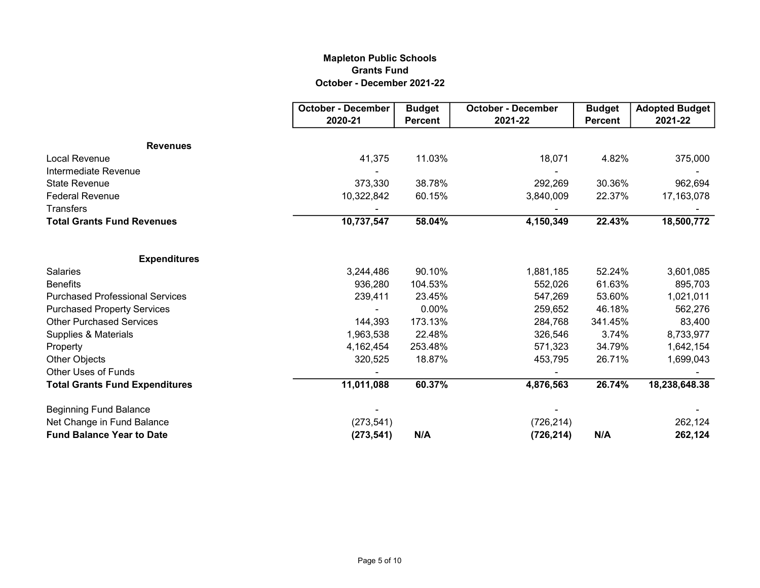#### Mapleton Public Schools Grants Fund October - December 2021-22

|                                        | <b>October - December</b> | <b>Budget</b>  | <b>October - December</b> | <b>Budget</b>  | <b>Adopted Budget</b> |
|----------------------------------------|---------------------------|----------------|---------------------------|----------------|-----------------------|
|                                        | 2020-21                   | <b>Percent</b> | 2021-22                   | <b>Percent</b> | 2021-22               |
|                                        |                           |                |                           |                |                       |
| <b>Revenues</b>                        |                           |                |                           |                |                       |
| Local Revenue                          | 41,375                    | 11.03%         | 18,071                    | 4.82%          | 375,000               |
| Intermediate Revenue                   |                           |                |                           |                |                       |
| <b>State Revenue</b>                   | 373,330                   | 38.78%         | 292,269                   | 30.36%         | 962,694               |
| <b>Federal Revenue</b>                 | 10,322,842                | 60.15%         | 3,840,009                 | 22.37%         | 17,163,078            |
| <b>Transfers</b>                       |                           |                |                           |                |                       |
| <b>Total Grants Fund Revenues</b>      | 10,737,547                | 58.04%         | 4,150,349                 | 22.43%         | 18,500,772            |
| <b>Expenditures</b>                    |                           |                |                           |                |                       |
| Salaries                               | 3,244,486                 | 90.10%         | 1,881,185                 | 52.24%         | 3,601,085             |
| <b>Benefits</b>                        | 936,280                   | 104.53%        | 552,026                   | 61.63%         | 895,703               |
| <b>Purchased Professional Services</b> | 239,411                   | 23.45%         | 547,269                   | 53.60%         | 1,021,011             |
| <b>Purchased Property Services</b>     |                           | 0.00%          | 259,652                   | 46.18%         | 562,276               |
| <b>Other Purchased Services</b>        | 144,393                   | 173.13%        | 284,768                   | 341.45%        | 83,400                |
| Supplies & Materials                   | 1,963,538                 | 22.48%         | 326,546                   | 3.74%          | 8,733,977             |
| Property                               | 4,162,454                 | 253.48%        | 571,323                   | 34.79%         | 1,642,154             |
| <b>Other Objects</b>                   | 320,525                   | 18.87%         | 453,795                   | 26.71%         | 1,699,043             |
| <b>Other Uses of Funds</b>             |                           |                |                           |                |                       |
| <b>Total Grants Fund Expenditures</b>  | 11,011,088                | 60.37%         | 4,876,563                 | 26.74%         | 18,238,648.38         |
| <b>Beginning Fund Balance</b>          |                           |                |                           |                |                       |
| Net Change in Fund Balance             | (273, 541)                |                | (726, 214)                |                | 262,124               |
| <b>Fund Balance Year to Date</b>       | (273, 541)                | N/A            | (726, 214)                | N/A            | 262,124               |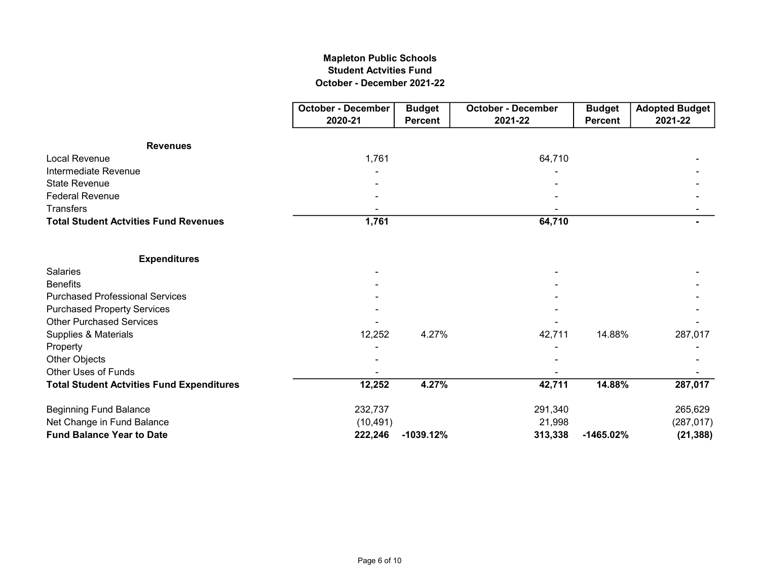## October - December 2021-22 Mapleton Public Schools Student Actvities Fund

|                                                  | <b>October - December</b> | <b>Budget</b>  | <b>October - December</b> | <b>Budget</b>  | <b>Adopted Budget</b> |
|--------------------------------------------------|---------------------------|----------------|---------------------------|----------------|-----------------------|
|                                                  | 2020-21                   | <b>Percent</b> | 2021-22                   | <b>Percent</b> | 2021-22               |
| <b>Revenues</b>                                  |                           |                |                           |                |                       |
| <b>Local Revenue</b>                             | 1,761                     |                | 64,710                    |                |                       |
| Intermediate Revenue                             |                           |                |                           |                |                       |
| <b>State Revenue</b>                             |                           |                |                           |                |                       |
| <b>Federal Revenue</b>                           |                           |                |                           |                |                       |
| <b>Transfers</b>                                 |                           |                |                           |                |                       |
| <b>Total Student Actvities Fund Revenues</b>     | 1,761                     |                | 64,710                    |                |                       |
| <b>Expenditures</b>                              |                           |                |                           |                |                       |
| <b>Salaries</b>                                  |                           |                |                           |                |                       |
| <b>Benefits</b>                                  |                           |                |                           |                |                       |
| <b>Purchased Professional Services</b>           |                           |                |                           |                |                       |
| <b>Purchased Property Services</b>               |                           |                |                           |                |                       |
| <b>Other Purchased Services</b>                  |                           |                |                           |                |                       |
| Supplies & Materials                             | 12,252                    | 4.27%          | 42,711                    | 14.88%         | 287,017               |
| Property                                         |                           |                |                           |                |                       |
| Other Objects                                    |                           |                |                           |                |                       |
| Other Uses of Funds                              |                           |                |                           |                |                       |
| <b>Total Student Actvities Fund Expenditures</b> | 12,252                    | 4.27%          | 42,711                    | 14.88%         | 287,017               |
| <b>Beginning Fund Balance</b>                    | 232,737                   |                | 291,340                   |                | 265,629               |
| Net Change in Fund Balance                       | (10, 491)                 |                | 21,998                    |                | (287, 017)            |
| <b>Fund Balance Year to Date</b>                 | 222,246                   | $-1039.12%$    | 313,338                   | $-1465.02%$    | (21, 388)             |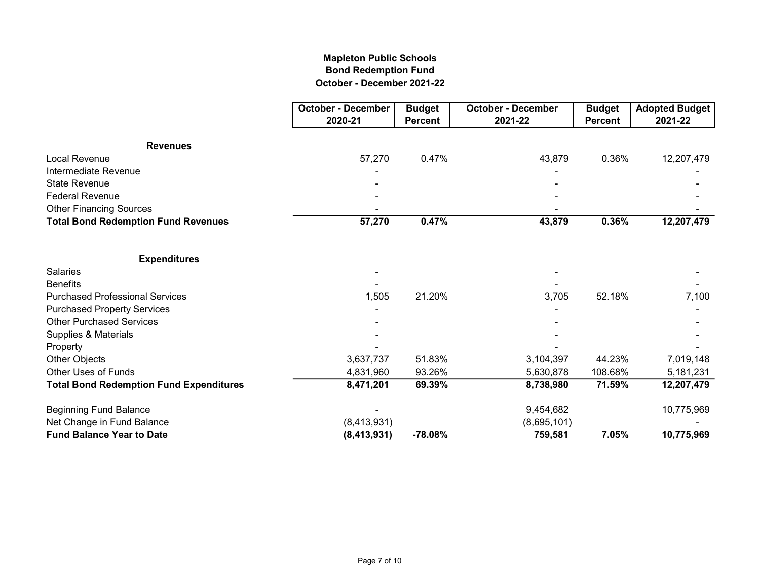## Mapleton Public Schools Bond Redemption Fund October - December 2021-22

|                                                | <b>October - December</b> | <b>Budget</b>  | <b>October - December</b> | <b>Budget</b>  | <b>Adopted Budget</b> |
|------------------------------------------------|---------------------------|----------------|---------------------------|----------------|-----------------------|
|                                                | 2020-21                   | <b>Percent</b> | 2021-22                   | <b>Percent</b> | 2021-22               |
| <b>Revenues</b>                                |                           |                |                           |                |                       |
| Local Revenue                                  | 57,270                    | 0.47%          | 43,879                    | 0.36%          | 12,207,479            |
| Intermediate Revenue                           |                           |                |                           |                |                       |
| <b>State Revenue</b>                           |                           |                |                           |                |                       |
| <b>Federal Revenue</b>                         |                           |                |                           |                |                       |
| <b>Other Financing Sources</b>                 |                           |                |                           |                |                       |
| <b>Total Bond Redemption Fund Revenues</b>     | 57,270                    | 0.47%          | 43,879                    | 0.36%          | 12,207,479            |
| <b>Expenditures</b>                            |                           |                |                           |                |                       |
| Salaries                                       |                           |                |                           |                |                       |
| <b>Benefits</b>                                |                           |                |                           |                |                       |
| <b>Purchased Professional Services</b>         | 1,505                     | 21.20%         | 3,705                     | 52.18%         | 7,100                 |
| <b>Purchased Property Services</b>             |                           |                |                           |                |                       |
| <b>Other Purchased Services</b>                |                           |                |                           |                |                       |
| Supplies & Materials                           |                           |                |                           |                |                       |
| Property                                       |                           |                |                           |                |                       |
| Other Objects                                  | 3,637,737                 | 51.83%         | 3,104,397                 | 44.23%         | 7,019,148             |
| <b>Other Uses of Funds</b>                     | 4,831,960                 | 93.26%         | 5,630,878                 | 108.68%        | 5,181,231             |
| <b>Total Bond Redemption Fund Expenditures</b> | 8,471,201                 | 69.39%         | 8,738,980                 | 71.59%         | 12,207,479            |
| <b>Beginning Fund Balance</b>                  |                           |                | 9,454,682                 |                | 10,775,969            |
| Net Change in Fund Balance                     | (8,413,931)               |                | (8,695,101)               |                |                       |
| <b>Fund Balance Year to Date</b>               | (8, 413, 931)             | $-78.08%$      | 759,581                   | 7.05%          | 10,775,969            |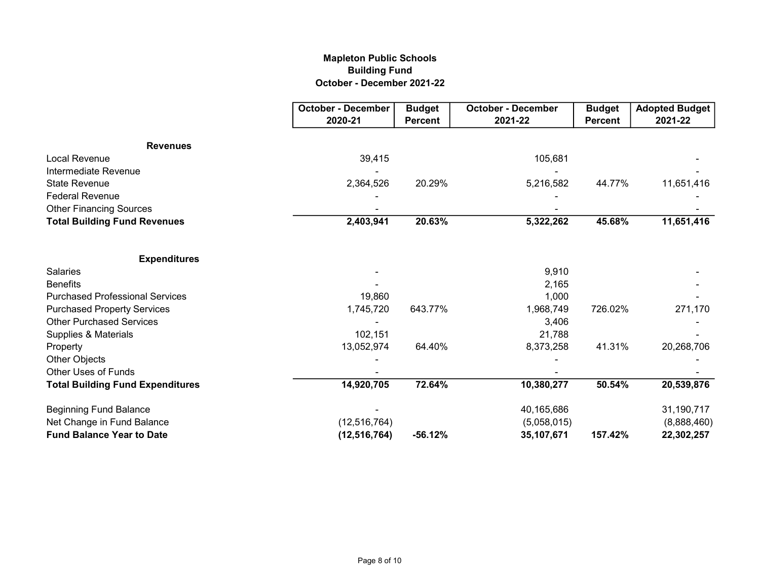## Mapleton Public Schools Building Fund October - December 2021-22

|                                         | <b>October - December</b> | <b>Budget</b>  | <b>October - December</b> | <b>Budget</b>  | <b>Adopted Budget</b> |
|-----------------------------------------|---------------------------|----------------|---------------------------|----------------|-----------------------|
|                                         | 2020-21                   | <b>Percent</b> | 2021-22                   | <b>Percent</b> | 2021-22               |
| <b>Revenues</b>                         |                           |                |                           |                |                       |
| <b>Local Revenue</b>                    | 39,415                    |                | 105,681                   |                |                       |
| Intermediate Revenue                    |                           |                |                           |                |                       |
| <b>State Revenue</b>                    | 2,364,526                 | 20.29%         | 5,216,582                 | 44.77%         | 11,651,416            |
| <b>Federal Revenue</b>                  |                           |                |                           |                |                       |
| <b>Other Financing Sources</b>          |                           |                |                           |                |                       |
| <b>Total Building Fund Revenues</b>     | 2,403,941                 | 20.63%         | 5,322,262                 | 45.68%         | 11,651,416            |
| <b>Expenditures</b>                     |                           |                |                           |                |                       |
| <b>Salaries</b>                         |                           |                | 9,910                     |                |                       |
| <b>Benefits</b>                         |                           |                | 2,165                     |                |                       |
| <b>Purchased Professional Services</b>  | 19,860                    |                | 1,000                     |                |                       |
| <b>Purchased Property Services</b>      | 1,745,720                 | 643.77%        | 1,968,749                 | 726.02%        | 271,170               |
| <b>Other Purchased Services</b>         |                           |                | 3,406                     |                |                       |
| Supplies & Materials                    | 102,151                   |                | 21,788                    |                |                       |
| Property                                | 13,052,974                | 64.40%         | 8,373,258                 | 41.31%         | 20,268,706            |
| <b>Other Objects</b>                    |                           |                |                           |                |                       |
| <b>Other Uses of Funds</b>              |                           |                |                           |                |                       |
| <b>Total Building Fund Expenditures</b> | 14,920,705                | 72.64%         | 10,380,277                | 50.54%         | 20,539,876            |
| <b>Beginning Fund Balance</b>           |                           |                | 40,165,686                |                | 31,190,717            |
| Net Change in Fund Balance              | (12, 516, 764)            |                | (5,058,015)               |                | (8,888,460)           |
| <b>Fund Balance Year to Date</b>        | (12, 516, 764)            | $-56.12%$      | 35,107,671                | 157.42%        | 22,302,257            |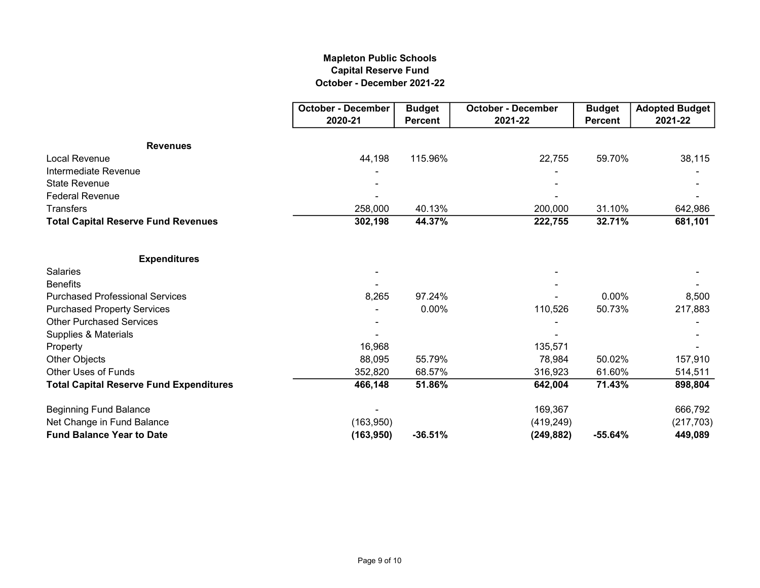## Mapleton Public Schools Capital Reserve Fund October - December 2021-22

|                                                | <b>October - December</b> | <b>Budget</b>  | <b>October - December</b> | <b>Budget</b>  | <b>Adopted Budget</b> |
|------------------------------------------------|---------------------------|----------------|---------------------------|----------------|-----------------------|
|                                                | 2020-21                   | <b>Percent</b> | 2021-22                   | <b>Percent</b> | 2021-22               |
| <b>Revenues</b>                                |                           |                |                           |                |                       |
| <b>Local Revenue</b>                           | 44,198                    | 115.96%        | 22,755                    | 59.70%         | 38,115                |
| Intermediate Revenue                           |                           |                |                           |                |                       |
| <b>State Revenue</b>                           |                           |                |                           |                |                       |
| <b>Federal Revenue</b>                         |                           |                |                           |                |                       |
| <b>Transfers</b>                               | 258,000                   | 40.13%         | 200,000                   | 31.10%         | 642,986               |
| <b>Total Capital Reserve Fund Revenues</b>     | 302,198                   | 44.37%         | 222,755                   | 32.71%         | 681,101               |
| <b>Expenditures</b>                            |                           |                |                           |                |                       |
| Salaries                                       |                           |                |                           |                |                       |
| <b>Benefits</b>                                |                           |                |                           |                |                       |
| <b>Purchased Professional Services</b>         | 8,265                     | 97.24%         |                           | $0.00\%$       | 8,500                 |
| <b>Purchased Property Services</b>             |                           | 0.00%          | 110,526                   | 50.73%         | 217,883               |
| <b>Other Purchased Services</b>                |                           |                |                           |                |                       |
| Supplies & Materials                           |                           |                |                           |                |                       |
| Property                                       | 16,968                    |                | 135,571                   |                |                       |
| <b>Other Objects</b>                           | 88,095                    | 55.79%         | 78,984                    | 50.02%         | 157,910               |
| <b>Other Uses of Funds</b>                     | 352,820                   | 68.57%         | 316,923                   | 61.60%         | 514,511               |
| <b>Total Capital Reserve Fund Expenditures</b> | 466,148                   | 51.86%         | 642,004                   | 71.43%         | 898,804               |
| <b>Beginning Fund Balance</b>                  |                           |                | 169,367                   |                | 666,792               |
| Net Change in Fund Balance                     | (163, 950)                |                | (419, 249)                |                | (217, 703)            |
| <b>Fund Balance Year to Date</b>               | (163, 950)                | $-36.51%$      | (249, 882)                | $-55.64%$      | 449,089               |